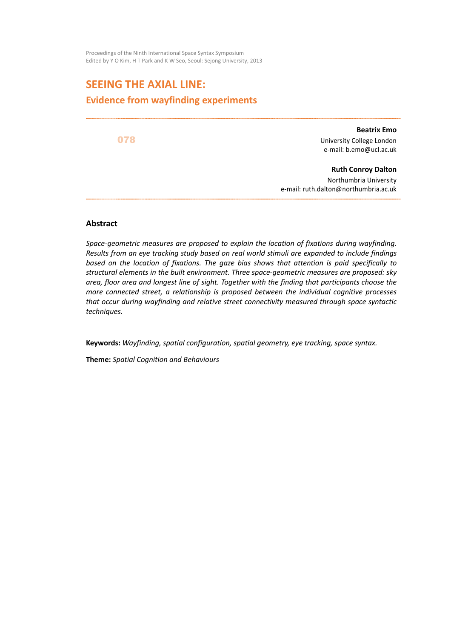Proceedings of the Ninth International Space Syntax Symposium Edited by Y O Kim, H T Park and K W Seo, Seoul: Sejong University, 2013

# **SEEING THE AXIAL LINE: Evidence from wayfinding experiments**

078

**Beatrix Emo** University College London e-mail: b.emo@ucl.ac.uk

**Ruth Conroy Dalton** Northumbria University e-mail: ruth.dalton@northumbria.ac.uk

#### **Abstract**

*Space-geometric measures are proposed to explain the location of fixations during wayfinding. Results from an eye tracking study based on real world stimuli are expanded to include findings based on the location of fixations. The gaze bias shows that attention is paid specifically to structural elements in the built environment. Three space-geometric measures are proposed: sky area, floor area and longest line of sight. Together with the finding that participants choose the more connected street, a relationship is proposed between the individual cognitive processes that occur during wayfinding and relative street connectivity measured through space syntactic techniques.* 

**Keywords:** *Wayfinding, spatial configuration, spatial geometry, eye tracking, space syntax.* 

**Theme:** *Spatial Cognition and Behaviours*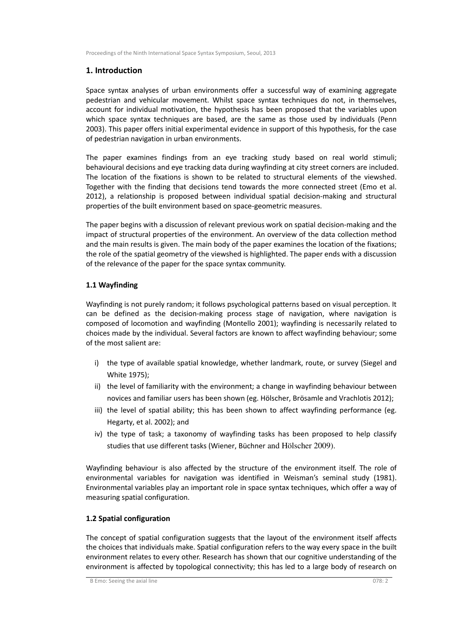# **1. Introduction**

Space syntax analyses of urban environments offer a successful way of examining aggregate pedestrian and vehicular movement. Whilst space syntax techniques do not, in themselves, account for individual motivation, the hypothesis has been proposed that the variables upon which space syntax techniques are based, are the same as those used by individuals (Penn 2003). This paper offers initial experimental evidence in support of this hypothesis, for the case of pedestrian navigation in urban environments.

The paper examines findings from an eye tracking study based on real world stimuli; behavioural decisions and eye tracking data during wayfinding at city street corners are included. The location of the fixations is shown to be related to structural elements of the viewshed. Together with the finding that decisions tend towards the more connected street (Emo et al. 2012), a relationship is proposed between individual spatial decision-making and structural properties of the built environment based on space-geometric measures.

The paper begins with a discussion of relevant previous work on spatial decision-making and the impact of structural properties of the environment. An overview of the data collection method and the main results is given. The main body of the paper examines the location of the fixations; the role of the spatial geometry of the viewshed is highlighted. The paper ends with a discussion of the relevance of the paper for the space syntax community.

# **1.1 Wayfinding**

Wayfinding is not purely random; it follows psychological patterns based on visual perception. It can be defined as the decision-making process stage of navigation, where navigation is composed of locomotion and wayfinding (Montello 2001); wayfinding is necessarily related to choices made by the individual. Several factors are known to affect wayfinding behaviour; some of the most salient are:

- i) the type of available spatial knowledge, whether landmark, route, or survey (Siegel and White 1975);
- ii) the level of familiarity with the environment; a change in wayfinding behaviour between novices and familiar users has been shown (eg. Hölscher, Brösamle and Vrachlotis 2012);
- iii) the level of spatial ability; this has been shown to affect wayfinding performance (eg. Hegarty, et al. 2002); and
- iv) the type of task; a taxonomy of wayfinding tasks has been proposed to help classify studies that use different tasks (Wiener, Büchner and Hölscher 2009).

Wayfinding behaviour is also affected by the structure of the environment itself. The role of environmental variables for navigation was identified in Weisman's seminal study (1981). Environmental variables play an important role in space syntax techniques, which offer a way of measuring spatial configuration.

# **1.2 Spatial configuration**

The concept of spatial configuration suggests that the layout of the environment itself affects the choices that individuals make. Spatial configuration refers to the way every space in the built environment relates to every other. Research has shown that our cognitive understanding of the environment is affected by topological connectivity; this has led to a large body of research on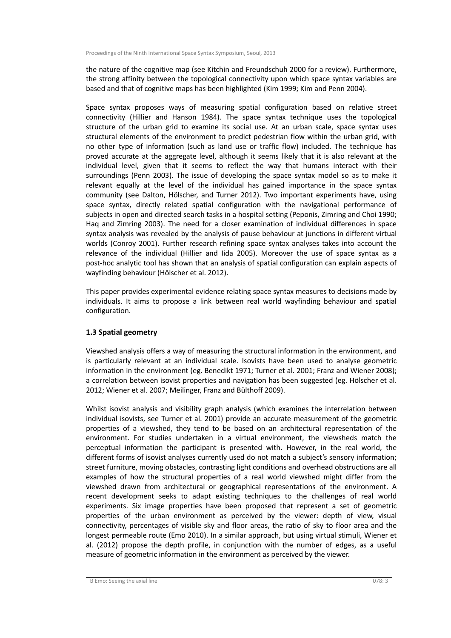the nature of the cognitive map (see Kitchin and Freundschuh 2000 for a review). Furthermore, the strong affinity between the topological connectivity upon which space syntax variables are based and that of cognitive maps has been highlighted (Kim 1999; Kim and Penn 2004).

Space syntax proposes ways of measuring spatial configuration based on relative street connectivity (Hillier and Hanson 1984). The space syntax technique uses the topological structure of the urban grid to examine its social use. At an urban scale, space syntax uses structural elements of the environment to predict pedestrian flow within the urban grid, with no other type of information (such as land use or traffic flow) included. The technique has proved accurate at the aggregate level, although it seems likely that it is also relevant at the individual level, given that it seems to reflect the way that humans interact with their surroundings (Penn 2003). The issue of developing the space syntax model so as to make it relevant equally at the level of the individual has gained importance in the space syntax community (see Dalton, Hölscher, and Turner 2012). Two important experiments have, using space syntax, directly related spatial configuration with the navigational performance of subjects in open and directed search tasks in a hospital setting (Peponis, Zimring and Choi 1990; Haq and Zimring 2003). The need for a closer examination of individual differences in space syntax analysis was revealed by the analysis of pause behaviour at junctions in different virtual worlds (Conroy 2001). Further research refining space syntax analyses takes into account the relevance of the individual (Hillier and Iida 2005). Moreover the use of space syntax as a post-hoc analytic tool has shown that an analysis of spatial configuration can explain aspects of wayfinding behaviour (Hölscher et al. 2012).

This paper provides experimental evidence relating space syntax measures to decisions made by individuals. It aims to propose a link between real world wayfinding behaviour and spatial configuration.

# **1.3 Spatial geometry**

Viewshed analysis offers a way of measuring the structural information in the environment, and is particularly relevant at an individual scale. Isovists have been used to analyse geometric information in the environment (eg. Benedikt 1971; Turner et al. 2001; Franz and Wiener 2008); a correlation between isovist properties and navigation has been suggested (eg. Hölscher et al. 2012; Wiener et al. 2007; Meilinger, Franz and Bülthoff 2009).

Whilst isovist analysis and visibility graph analysis (which examines the interrelation between individual isovists, see Turner et al. 2001) provide an accurate measurement of the geometric properties of a viewshed, they tend to be based on an architectural representation of the environment. For studies undertaken in a virtual environment, the viewsheds match the perceptual information the participant is presented with. However, in the real world, the different forms of isovist analyses currently used do not match a subject's sensory information; street furniture, moving obstacles, contrasting light conditions and overhead obstructions are all examples of how the structural properties of a real world viewshed might differ from the viewshed drawn from architectural or geographical representations of the environment. A recent development seeks to adapt existing techniques to the challenges of real world experiments. Six image properties have been proposed that represent a set of geometric properties of the urban environment as perceived by the viewer: depth of view, visual connectivity, percentages of visible sky and floor areas, the ratio of sky to floor area and the longest permeable route (Emo 2010). In a similar approach, but using virtual stimuli, Wiener et al. (2012) propose the depth profile, in conjunction with the number of edges, as a useful measure of geometric information in the environment as perceived by the viewer.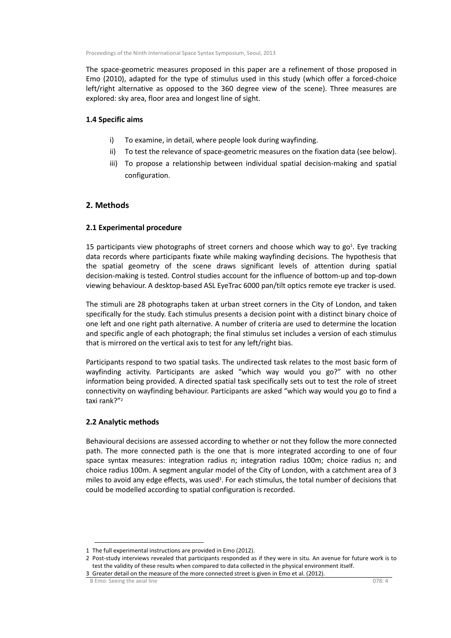The space-geometric measures proposed in this paper are a refinement of those proposed in Emo (2010), adapted for the type of stimulus used in this study (which offer a forced-choice left/right alternative as opposed to the 360 degree view of the scene). Three measures are explored: sky area, floor area and longest line of sight.

## **1.4 Specific aims**

- i) To examine, in detail, where people look during wayfinding.
- ii) To test the relevance of space-geometric measures on the fixation data (see below).
- iii) To propose a relationship between individual spatial decision-making and spatial configuration.

# **2. Methods**

# **2.1 Experimental procedure**

15 participants view photographs of street corners and choose which way to  $go<sup>1</sup>$ . Eye tracking data records where participants fixate while making wayfinding decisions. The hypothesis that the spatial geometry of the scene draws significant levels of attention during spatial decision-making is tested. Control studies account for the influence of bottom-up and top-down viewing behaviour. A desktop-based ASL EyeTrac 6000 pan/tilt optics remote eye tracker is used.

The stimuli are 28 photographs taken at urban street corners in the City of London, and taken specifically for the study. Each stimulus presents a decision point with a distinct binary choice of one left and one right path alternative. A number of criteria are used to determine the location and specific angle of each photograph; the final stimulus set includes a version of each stimulus that is mirrored on the vertical axis to test for any left/right bias.

Participants respond to two spatial tasks. The undirected task relates to the most basic form of wayfinding activity. Participants are asked "which way would you go?" with no other information being provided. A directed spatial task specifically sets out to test the role of street connectivity on wayfinding behaviour. Participants are asked "which way would you go to find a taxi rank?"<sup>2</sup>

# **2.2 Analytic methods**

Behavioural decisions are assessed according to whether or not they follow the more connected path. The more connected path is the one that is more integrated according to one of four space syntax measures: integration radius n; integration radius 100m; choice radius n; and choice radius 100m. A segment angular model of the City of London, with a catchment area of 3 miles to avoid any edge effects, was used<sup>3</sup>. For each stimulus, the total number of decisions that could be modelled according to spatial configuration is recorded.

<sup>1</sup> The full experimental instructions are provided in Emo (2012).

<sup>2</sup> Post-study interviews revealed that participants responded as if they were in situ. An avenue for future work is to test the validity of these results when compared to data collected in the physical environment itself.

<sup>3</sup> Greater detail on the measure of the more connected street is given in Emo et al. (2012).

B Emo: Seeing the axial line 078: 4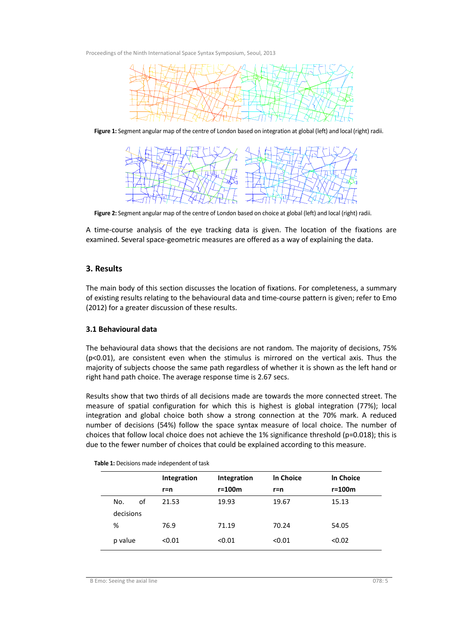

**Figure 1:** Segment angular map of the centre of London based on integration at global (left) and local (right) radii.



**Figure 2:** Segment angular map of the centre of London based on choice at global (left) and local (right) radii.

A time-course analysis of the eye tracking data is given. The location of the fixations are examined. Several space-geometric measures are offered as a way of explaining the data.

## **3. Results**

The main body of this section discusses the location of fixations. For completeness, a summary of existing results relating to the behavioural data and time-course pattern is given; refer to Emo (2012) for a greater discussion of these results.

#### **3.1 Behavioural data**

The behavioural data shows that the decisions are not random. The majority of decisions, 75% (p<0.01), are consistent even when the stimulus is mirrored on the vertical axis. Thus the majority of subjects choose the same path regardless of whether it is shown as the left hand or right hand path choice. The average response time is 2.67 secs.

Results show that two thirds of all decisions made are towards the more connected street. The measure of spatial configuration for which this is highest is global integration (77%); local integration and global choice both show a strong connection at the 70% mark. A reduced number of decisions (54%) follow the space syntax measure of local choice. The number of choices that follow local choice does not achieve the 1% significance threshold (p=0.018); this is due to the fewer number of choices that could be explained according to this measure.

|           |    | Integration<br>$r=n$ | Integration<br>$r = 100m$ | In Choice<br>$r=n$ | In Choice<br>$r = 100m$ |
|-----------|----|----------------------|---------------------------|--------------------|-------------------------|
|           |    |                      |                           |                    |                         |
| No.       | οf | 21.53                | 19.93                     | 19.67              | 15.13                   |
| decisions |    |                      |                           |                    |                         |
| %         |    | 76.9                 | 71.19                     | 70.24              | 54.05                   |
| p value   |    | < 0.01               | < 0.01                    | < 0.01             | < 0.02                  |

**Table 1:** Decisions made independent of task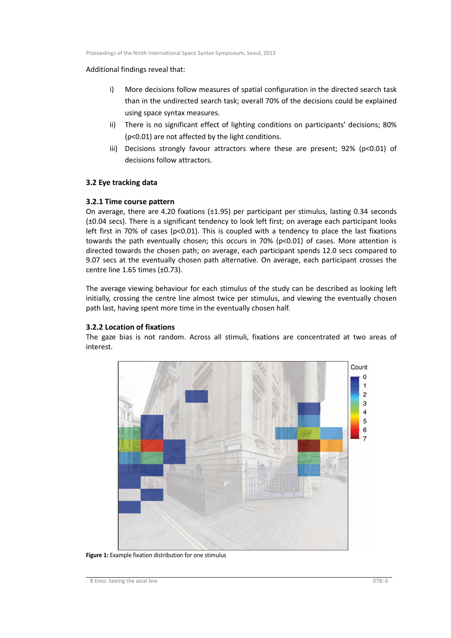#### Additional findings reveal that:

- i) More decisions follow measures of spatial configuration in the directed search task than in the undirected search task; overall 70% of the decisions could be explained using space syntax measures.
- ii) There is no significant effect of lighting conditions on participants' decisions; 80% (p<0.01) are not affected by the light conditions.
- iii) Decisions strongly favour attractors where these are present;  $92\%$  (p<0.01) of decisions follow attractors.

## **3.2 Eye tracking data**

#### **3.2.1 Time course pattern**

On average, there are 4.20 fixations (±1.95) per participant per stimulus, lasting 0.34 seconds (±0.04 secs). There is a significant tendency to look left first; on average each participant looks left first in 70% of cases ( $p<0.01$ ). This is coupled with a tendency to place the last fixations towards the path eventually chosen; this occurs in 70% (p<0.01) of cases. More attention is directed towards the chosen path; on average, each participant spends 12.0 secs compared to 9.07 secs at the eventually chosen path alternative. On average, each participant crosses the centre line 1.65 times (±0.73).

The average viewing behaviour for each stimulus of the study can be described as looking left initially, crossing the centre line almost twice per stimulus, and viewing the eventually chosen path last, having spent more time in the eventually chosen half.

#### **3.2.2 Location of fixations**

The gaze bias is not random. Across all stimuli, fixations are concentrated at two areas of interest.



**Figure 1:** Example fixation distribution for one stimulus

B Emo: Seeing the axial line 078: 6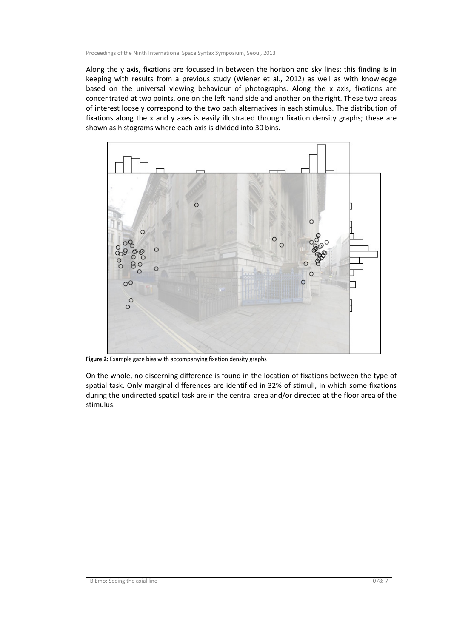Along the y axis, fixations are focussed in between the horizon and sky lines; this finding is in keeping with results from a previous study (Wiener et al., 2012) as well as with knowledge based on the universal viewing behaviour of photographs. Along the x axis, fixations are concentrated at two points, one on the left hand side and another on the right. These two areas of interest loosely correspond to the two path alternatives in each stimulus. The distribution of fixations along the x and y axes is easily illustrated through fixation density graphs; these are shown as histograms where each axis is divided into 30 bins.



**Figure 2:** Example gaze bias with accompanying fixation density graphs

On the whole, no discerning difference is found in the location of fixations between the type of spatial task. Only marginal differences are identified in 32% of stimuli, in which some fixations during the undirected spatial task are in the central area and/or directed at the floor area of the stimulus.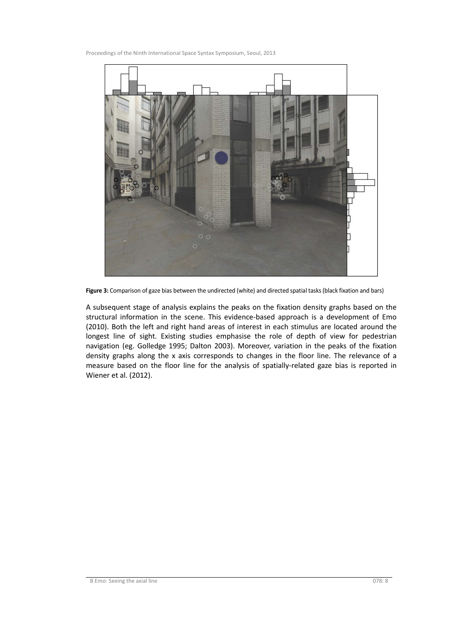

**Figure 3:** Comparison of gaze bias between the undirected (white) and directed spatial tasks (black fixation and bars)

A subsequent stage of analysis explains the peaks on the fixation density graphs based on the structural information in the scene. This evidence-based approach is a development of Emo (2010). Both the left and right hand areas of interest in each stimulus are located around the longest line of sight. Existing studies emphasise the role of depth of view for pedestrian navigation (eg. Golledge 1995; Dalton 2003). Moreover, variation in the peaks of the fixation density graphs along the x axis corresponds to changes in the floor line. The relevance of a measure based on the floor line for the analysis of spatially-related gaze bias is reported in Wiener et al. (2012).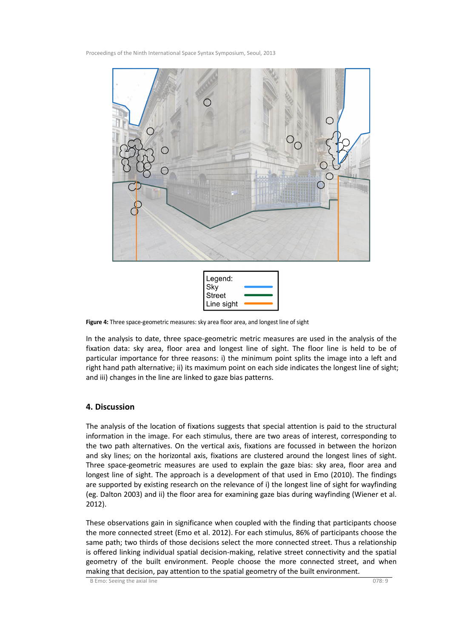



**Figure 4:** Three space-geometric measures: sky area floor area, and longest line of sight

In the analysis to date, three space-geometric metric measures are used in the analysis of the fixation data: sky area, floor area and longest line of sight. The floor line is held to be of particular importance for three reasons: i) the minimum point splits the image into a left and right hand path alternative; ii) its maximum point on each side indicates the longest line of sight; and iii) changes in the line are linked to gaze bias patterns.

#### **4. Discussion**

The analysis of the location of fixations suggests that special attention is paid to the structural information in the image. For each stimulus, there are two areas of interest, corresponding to the two path alternatives. On the vertical axis, fixations are focussed in between the horizon and sky lines; on the horizontal axis, fixations are clustered around the longest lines of sight. Three space-geometric measures are used to explain the gaze bias: sky area, floor area and longest line of sight. The approach is a development of that used in Emo (2010). The findings are supported by existing research on the relevance of i) the longest line of sight for wayfinding (eg. Dalton 2003) and ii) the floor area for examining gaze bias during wayfinding (Wiener et al. 2012).

These observations gain in significance when coupled with the finding that participants choose the more connected street (Emo et al. 2012). For each stimulus, 86% of participants choose the same path; two thirds of those decisions select the more connected street. Thus a relationship is offered linking individual spatial decision-making, relative street connectivity and the spatial geometry of the built environment. People choose the more connected street, and when making that decision, pay attention to the spatial geometry of the built environment.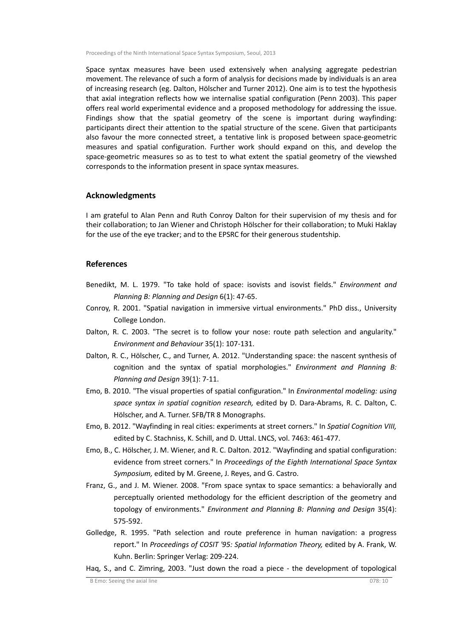Space syntax measures have been used extensively when analysing aggregate pedestrian movement. The relevance of such a form of analysis for decisions made by individuals is an area of increasing research (eg. Dalton, Hölscher and Turner 2012). One aim is to test the hypothesis that axial integration reflects how we internalise spatial configuration (Penn 2003). This paper offers real world experimental evidence and a proposed methodology for addressing the issue. Findings show that the spatial geometry of the scene is important during wayfinding: participants direct their attention to the spatial structure of the scene. Given that participants also favour the more connected street, a tentative link is proposed between space-geometric measures and spatial configuration. Further work should expand on this, and develop the space-geometric measures so as to test to what extent the spatial geometry of the viewshed corresponds to the information present in space syntax measures.

#### **Acknowledgments**

I am grateful to Alan Penn and Ruth Conroy Dalton for their supervision of my thesis and for their collaboration; to Jan Wiener and Christoph Hölscher for their collaboration; to Muki Haklay for the use of the eye tracker; and to the EPSRC for their generous studentship.

#### **References**

- Benedikt, M. L. 1979. "To take hold of space: isovists and isovist fields." *Environment and Planning B: Planning and Design* 6(1): 47-65.
- Conroy, R. 2001. "Spatial navigation in immersive virtual environments." PhD diss., University College London.
- Dalton, R. C. 2003. "The secret is to follow your nose: route path selection and angularity." *Environment and Behaviour* 35(1): 107-131.
- Dalton, R. C., Hölscher, C., and Turner, A. 2012. "Understanding space: the nascent synthesis of cognition and the syntax of spatial morphologies." *Environment and Planning B: Planning and Design* 39(1): 7-11.
- Emo, B. 2010. "The visual properties of spatial configuration." In *Environmental modeling: using space syntax in spatial cognition research,* edited by D. Dara-Abrams, R. C. Dalton, C. Hölscher, and A. Turner. SFB/TR 8 Monographs.
- Emo, B. 2012. "Wayfinding in real cities: experiments at street corners." In *Spatial Cognition VIII,* edited by C. Stachniss, K. Schill, and D. Uttal. LNCS, vol. 7463: 461-477.
- Emo, B., C. Hölscher, J. M. Wiener, and R. C. Dalton. 2012. "Wayfinding and spatial configuration: evidence from street corners." In *Proceedings of the Eighth International Space Syntax Symposium,* edited by M. Greene, J. Reyes, and G. Castro.
- Franz, G., and J. M. Wiener. 2008. "From space syntax to space semantics: a behaviorally and perceptually oriented methodology for the efficient description of the geometry and topology of environments." *Environment and Planning B: Planning and Design* 35(4): 575-592.
- Golledge, R. 1995. "Path selection and route preference in human navigation: a progress report." In *Proceedings of COSIT '95: Spatial Information Theory,* edited by A. Frank, W. Kuhn. Berlin: Springer Verlag: 209-224.
- Haq, S., and C. Zimring, 2003. "Just down the road a piece the development of topological